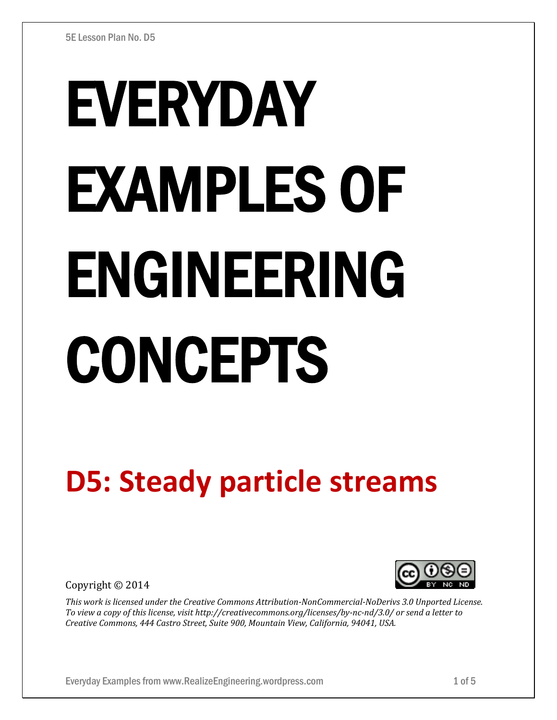# EVERYDAY EXAMPLES OF ENGINEERING CONCEPTS

## **D5: Steady particle streams**

Copyright © 2014



*This work is licensed under the Creative Commons Attribution-NonCommercial-NoDerivs 3.0 Unported License. To view a copy of this license, visit http://creativecommons.org/licenses/by-nc-nd/3.0/ or send a letter to Creative Commons, 444 Castro Street, Suite 900, Mountain View, California, 94041, USA.*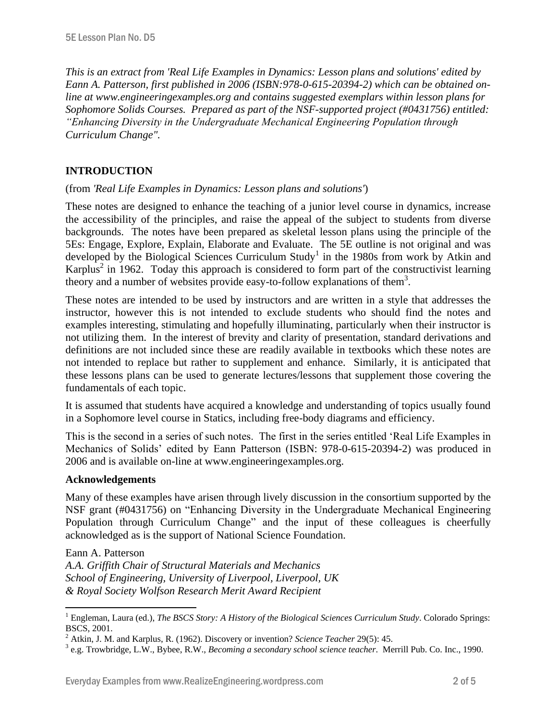*This is an extract from 'Real Life Examples in Dynamics: Lesson plans and solutions' edited by Eann A. Patterson, first published in 2006 (ISBN:978-0-615-20394-2) which can be obtained online at www.engineeringexamples.org and contains suggested exemplars within lesson plans for Sophomore Solids Courses. Prepared as part of the NSF-supported project (#0431756) entitled: "Enhancing Diversity in the Undergraduate Mechanical Engineering Population through Curriculum Change".* 

#### **INTRODUCTION**

#### (from *'Real Life Examples in Dynamics: Lesson plans and solutions'*)

These notes are designed to enhance the teaching of a junior level course in dynamics, increase the accessibility of the principles, and raise the appeal of the subject to students from diverse backgrounds. The notes have been prepared as skeletal lesson plans using the principle of the 5Es: Engage, Explore, Explain, Elaborate and Evaluate. The 5E outline is not original and was developed by the Biological Sciences Curriculum Study<sup>1</sup> in the 1980s from work by Atkin and Karplus<sup>2</sup> in 1962. Today this approach is considered to form part of the constructivist learning theory and a number of websites provide easy-to-follow explanations of them<sup>3</sup>.

These notes are intended to be used by instructors and are written in a style that addresses the instructor, however this is not intended to exclude students who should find the notes and examples interesting, stimulating and hopefully illuminating, particularly when their instructor is not utilizing them. In the interest of brevity and clarity of presentation, standard derivations and definitions are not included since these are readily available in textbooks which these notes are not intended to replace but rather to supplement and enhance. Similarly, it is anticipated that these lessons plans can be used to generate lectures/lessons that supplement those covering the fundamentals of each topic.

It is assumed that students have acquired a knowledge and understanding of topics usually found in a Sophomore level course in Statics, including free-body diagrams and efficiency.

This is the second in a series of such notes. The first in the series entitled 'Real Life Examples in Mechanics of Solids' edited by Eann Patterson (ISBN: 978-0-615-20394-2) was produced in 2006 and is available on-line at www.engineeringexamples.org.

#### **Acknowledgements**

 $\overline{a}$ 

Many of these examples have arisen through lively discussion in the consortium supported by the NSF grant (#0431756) on "Enhancing Diversity in the Undergraduate Mechanical Engineering Population through Curriculum Change" and the input of these colleagues is cheerfully acknowledged as is the support of National Science Foundation.

Eann A. Patterson *A.A. Griffith Chair of Structural Materials and Mechanics School of Engineering, University of Liverpool, Liverpool, UK & Royal Society Wolfson Research Merit Award Recipient*

<sup>&</sup>lt;sup>1</sup> Engleman, Laura (ed.), *The BSCS Story: A History of the Biological Sciences Curriculum Study*. Colorado Springs: BSCS, 2001.

<sup>2</sup> Atkin, J. M. and Karplus, R. (1962). Discovery or invention? *Science Teacher* 29(5): 45.

<sup>3</sup> e.g. Trowbridge, L.W., Bybee, R.W., *Becoming a secondary school science teacher*. Merrill Pub. Co. Inc., 1990.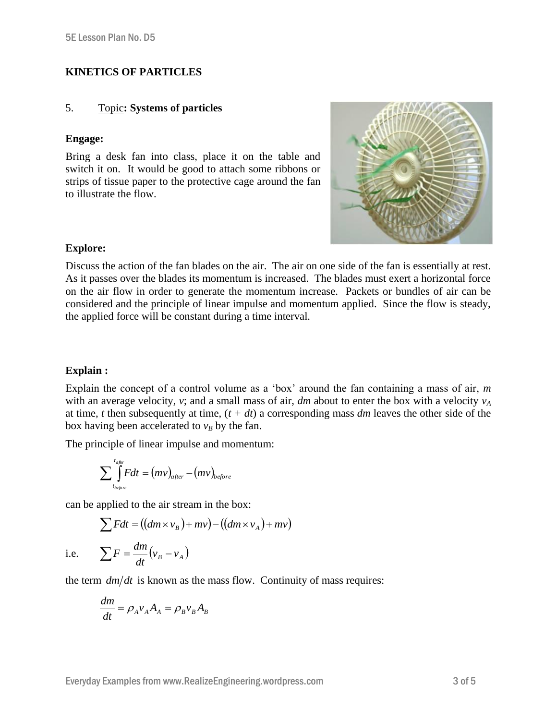#### **KINETICS OF PARTICLES**

#### 5. Topic**: Systems of particles**

#### **Engage:**

Bring a desk fan into class, place it on the table and switch it on. It would be good to attach some ribbons or strips of tissue paper to the protective cage around the fan to illustrate the flow.



#### **Explore:**

Discuss the action of the fan blades on the air. The air on one side of the fan is essentially at rest. As it passes over the blades its momentum is increased. The blades must exert a horizontal force on the air flow in order to generate the momentum increase. Packets or bundles of air can be considered and the principle of linear impulse and momentum applied. Since the flow is steady, the applied force will be constant during a time interval*.*

#### **Explain :**

Explain the concept of a control volume as a 'box' around the fan containing a mass of air, *m* with an average velocity, *v*; and a small mass of air, *dm* about to enter the box with a velocity  $v_A$ at time, *t* then subsequently at time, (*t + dt*) a corresponding mass *dm* leaves the other side of the box having been accelerated to  $v_B$  by the fan.

The principle of linear impulse and momentum:

$$
\sum\int\limits_{t_{before}}^{t_{after}}Fdt = (mv)_{after} - (mv)_{before}
$$

can be applied to the air stream in the box:

$$
\sum Fdt = ((dm \times v_B) + mv) - ((dm \times v_A) + mv)
$$

i.e.

$$
\sum F = \frac{dm}{dt} (v_B - v_A)
$$

the term  $dm/dt$  is known as the mass flow. Continuity of mass requires:

$$
\frac{dm}{dt} = \rho_A v_A A_A = \rho_B v_B A_B
$$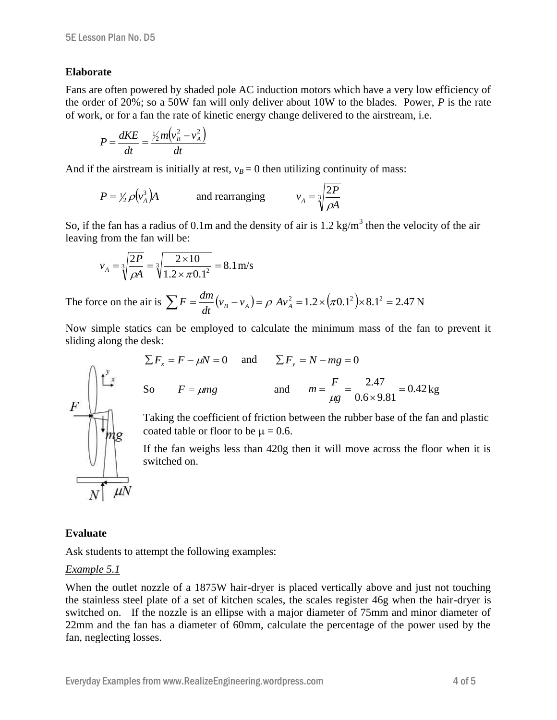#### **Elaborate**

Fans are often powered by shaded pole AC induction motors which have a very low efficiency of the order of 20%; so a 50W fan will only deliver about 10W to the blades. Power, *P* is the rate of work, or for a fan the rate of kinetic energy change delivered to the airstream, i.e.

$$
P = \frac{dKE}{dt} = \frac{\frac{1}{2}m(v_B^2 - v_A^2)}{dt}
$$

And if the airstream is initially at rest,  $v_B = 0$  then utilizing continuity of mass:

$$
P = \frac{1}{2} \rho \left(v_A^3\right) A
$$
 and rearranging  $v_A = \sqrt[3]{\frac{2P}{\rho A}}$ 

So, if the fan has a radius of 0.1m and the density of air is 1.2 kg/m<sup>3</sup> then the velocity of the air leaving from the fan will be:

$$
v_A = \sqrt[3]{\frac{2P}{\rho A}} = \sqrt[3]{\frac{2 \times 10}{1.2 \times \pi 0.1^2}} = 8.1 \text{ m/s}
$$

The force on the air is  $\sum F = \frac{am}{dt}(v_B - v_A) = \rho A v_A^2 = 1.2 \times (\pi 0.1^2) \times 8.1^2 = 2.47$ *dt*  $F = \frac{dm}{\sqrt{v_R - v_A}} = \rho A v_A^2 = 1.2 \times (\pi 0.1^2) \times 8.1^2 = 2.47 \text{ N}$ 

Now simple statics can be employed to calculate the minimum mass of the fan to prevent it sliding along the desk:

$$
\sum F_x = F - \mu N = 0
$$
 and  $\sum F_y = N - mg = 0$   
So  $F = \mu mg$  and  $m = \frac{F}{\mu g} = \frac{2.47}{0.6 \times 9.81} = 0.42 \text{ kg}$ 

Taking the coefficient of friction between the rubber base of the fan and plastic coated table or floor to be  $\mu = 0.6$ .

If the fan weighs less than 420g then it will move across the floor when it is switched on.

### **Evaluate**

Ask students to attempt the following examples:

#### *Example 5.1*

When the outlet nozzle of a 1875W hair-dryer is placed vertically above and just not touching the stainless steel plate of a set of kitchen scales, the scales register 46g when the hair-dryer is switched on. If the nozzle is an ellipse with a major diameter of 75mm and minor diameter of 22mm and the fan has a diameter of 60mm, calculate the percentage of the power used by the fan, neglecting losses.